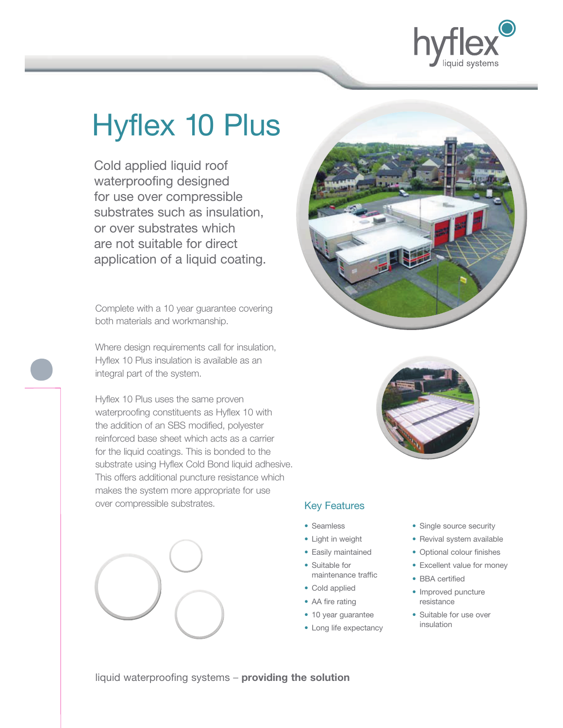

# Hyflex 10 Plus

 Cold applied liquid roof waterproofing designed for use over compressible substrates such as insulation, or over substrates which are not suitable for direct application of a liquid coating.

Complete with a 10 year guarantee covering both materials and workmanship.

Where design requirements call for insulation, Hyflex 10 Plus insulation is available as an integral part of the system.

Hyflex 10 Plus uses the same proven waterproofing constituents as Hyflex 10 with the addition of an SBS modified, polyester reinforced base sheet which acts as a carrier for the liquid coatings. This is bonded to the substrate using Hyflex Cold Bond liquid adhesive. This offers additional puncture resistance which makes the system more appropriate for use over compressible substrates.





### Key Features

- Seamless
- Light in weight
- Easily maintained
- Suitable for maintenance traffic
- Cold applied
- AA fire rating
- 10 year guarantee
- Long life expectancy
- Single source security
- Revival system available
- Optional colour finishes
- Excellent value for money
- BBA certified
- Improved puncture resistance
- Suitable for use over insulation

liquid waterproofing systems – **providing the solution**